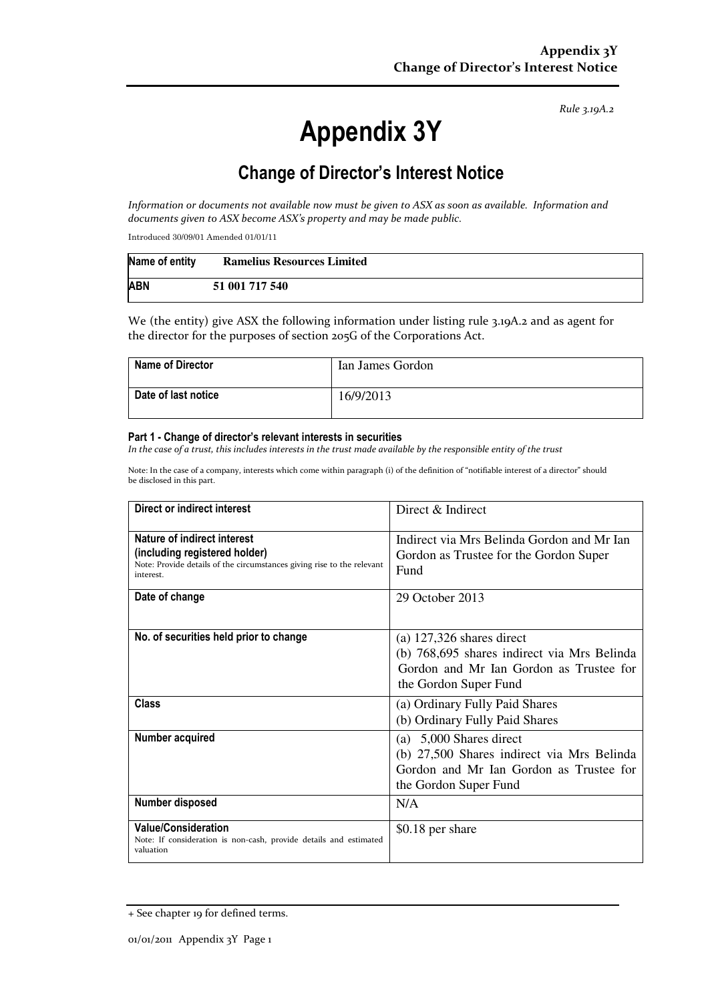Rule 3.19A.2

# Appendix 3Y

# Change of Director's Interest Notice

Information or documents not available now must be given to ASX as soon as available. Information and documents given to ASX become ASX's property and may be made public.

Introduced 30/09/01 Amended 01/01/11

| Name of entity | <b>Ramelius Resources Limited</b> |
|----------------|-----------------------------------|
| <b>ABN</b>     | 51 001 717 540                    |

We (the entity) give ASX the following information under listing rule 3.19A.2 and as agent for the director for the purposes of section 205G of the Corporations Act.

| <b>Name of Director</b> | Ian James Gordon |
|-------------------------|------------------|
| Date of last notice     | 16/9/2013        |

#### Part 1 - Change of director's relevant interests in securities

In the case of a trust, this includes interests in the trust made available by the responsible entity of the trust

Note: In the case of a company, interests which come within paragraph (i) of the definition of "notifiable interest of a director" should be disclosed in this part.

| Direct or indirect interest                                                                                                                         | Direct $\&$ Indirect                                                                                                                           |  |
|-----------------------------------------------------------------------------------------------------------------------------------------------------|------------------------------------------------------------------------------------------------------------------------------------------------|--|
| Nature of indirect interest<br>(including registered holder)<br>Note: Provide details of the circumstances giving rise to the relevant<br>interest. | Indirect via Mrs Belinda Gordon and Mr Ian<br>Gordon as Trustee for the Gordon Super<br>Fund                                                   |  |
| Date of change                                                                                                                                      | 29 October 2013                                                                                                                                |  |
| No. of securities held prior to change                                                                                                              | (a) $127,326$ shares direct<br>(b) 768,695 shares indirect via Mrs Belinda<br>Gordon and Mr Ian Gordon as Trustee for<br>the Gordon Super Fund |  |
| Class                                                                                                                                               | (a) Ordinary Fully Paid Shares<br>(b) Ordinary Fully Paid Shares                                                                               |  |
| Number acquired                                                                                                                                     | (a) $5,000$ Shares direct<br>(b) 27,500 Shares indirect via Mrs Belinda<br>Gordon and Mr Ian Gordon as Trustee for<br>the Gordon Super Fund    |  |
| Number disposed                                                                                                                                     | N/A                                                                                                                                            |  |
| <b>Value/Consideration</b><br>Note: If consideration is non-cash, provide details and estimated<br>valuation                                        | \$0.18 per share                                                                                                                               |  |

<sup>+</sup> See chapter 19 for defined terms.